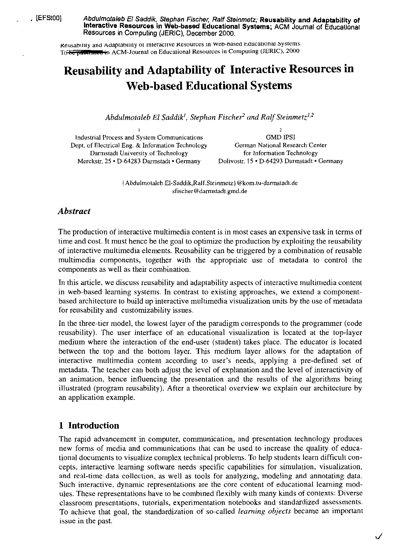#### . **[EFStOO]** Abdulmotaleb **EI** Saddik, Stephan Fischer. **Ralf** Steinmetz; Reusability and Adaptability **of**  lnteractive Resources in Web-based Educational Systems; ACM Journal of Educational Resources in Computing (JERIC), December 2000.

Keusability and Adaptability of Interactive Kesources in Web-based Educational Systems. To be passioned in ACM-Journal on Educational Resources in Computing (JERIC), 2000

# **Reusability and Adaptability of Interactive Resources in Web-based Educational Systems**

*Abdulmotaleb El Saddik<sup>1</sup>, Stephan Fischer<sup>2</sup> and Ralf Steinmetz<sup>1,2</sup>* 

Industrial Process and System Communications<br>
Vept. of Electrical Eng. & Information Technology German National Research Center Dept. of Electrical Eng. & Information Technology German National Research Center Contents Darmstadt University of Technology for Information Technology Darmstadt University of Technology Merckstr. 25 . D-64283 Darmstadt · Germany Dolivostr. 15 . D-64293 Darmstadt · Germany

**I 2** 

(Abdulmotaleb.El-Saddik,Ralf.Steinmetz)@kom.tu-darmstadt.de sfischer@darmstadt.gmd.de

# *Abstract*

The production of interactive multimedia content is in most cases an expensive task in terms of time and cost. It must hence be the goal to optimize the production by exploiting the reusability of interactive multimedia elements. Reusability can be triggered by a combination of reusable multimedia components, together with the appropriate use of metadata to control the components as well as their combination.

In this article, we discuss reusability and adaptability aspects of interactive multimedia content in web-based leaming Systems. In contrast to existing approaches, we extend a componentbased architecture to build up interactive multimedia visualization units by the use of metadata for reusability and customizability issues.

In the three-tier model, the lowest layer of the paradigm corresponds to the programmer (code reusability). The user interface of an educational visualization is located at the top-layer medium where the interaction of the end-user (student) takes place. The educator is located between the top and the bottom layer. This medium layer allows for the adaptation of interactive multimedia content according to user's needs, applying a pre-defined set of metadata. The teacher can both adjust the level of explanation and the level of interactivity of an animation, hence influencing the presentation and the results of the algorithms being illustrated (program reusability). After a theoretical overview we explain our architecture by an application example.

# **1 Introduction**

The rapid advancement in computer, communication, and presentation technology produces new fonns of media and communications that can be used to increase the quality of educational documents to visualize complex technical problems. To help students leam difficult concepts, interactive leaming software needs specific capabilities for simulation, visualization, and real-time data collection, as well as tools for analyzing, modeling and annotating data. Such interactive, dynamic representations are the core content of educational learning modules. These representations have to be combined flexibly with many kinds of contexts: Diverse classroom presentations, tutorials, experimentation notebooks and standardized assessments. To achieve that goal, the standardization of so-called *learning objects* became an important issue in the past.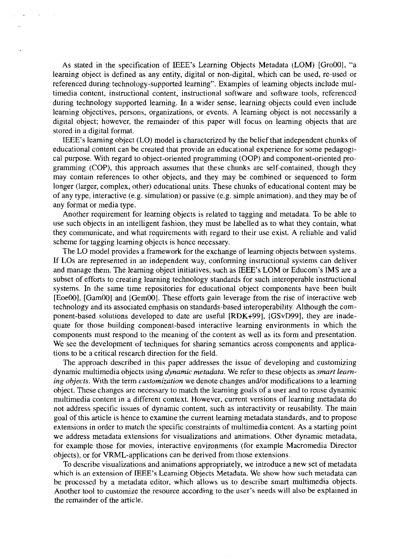As stated in the specification of IEEE's Learning Objects Metadata (LOM) [GroOO], "a leaming object is defined as any entity, digital or non-digital, which can be used, re-used or referenced during technology-supported learning". Examples of learning objects include multimedia content, instructional content, instructional software and software tools, referenced during technology supported leaming. In a wider sense, learning objects could even include learning objectives, persons, organizations, or events. A learning object is not necessarily a digital object; however, the remainder of this paper will focus on leaming objects that are stored in a digital format.

IEEE's leaming object (LO) model is characterized by the belief that independent chunks of educational content can be created that provide an educational experience for some pedagogical purpose. With regard to object-oriented programming (OOP) and component-oriented programming (COP), this approach assumes that these chunks are self-contained, though they may contain references to other objects, and they may be combined or sequenced to form longer (larger, complex, other) educational units. These chunks of educational content may be of any type, interactive (e.g. simulation) or passive (e.g. simple animation), and they may be of any format or media type.

Another requirement for learning objects is related to tagging and metadata. To be able to use such objects in an intelligent fashion, they must be labelled as to what they contain, what they communicate, and what requirements with regard to their use exist. A reliable and valid scheme for tagging leaming objects is hence necessary.

The L0 model provides a framework for the exchange of learning objects between systems. If LOS are represented in an independent way, conforrning instmctional systems can deliver and manage them. The learning object initiatives. such as iEEE's LOM or Educom's IMS are a subset of efforts to creating learning technology standards for such interoperable instmctional systems. In the same time repositories for educational object components have been built [EoeOO], [GamOO] and [GemOO]. These efforts gain leverage from the rise of interactive web technology and its associated emphasis on standards-based interoperability. Although the component-based solutions developed to date are useful [RDK+99], [GSvD99], they are inadequate for those building component-based interactive learning environments in which the components must respond to the meaning of the content as well as its form and presentation. We see the development of techniques for sharing semantics across components and applications to be a cntical research direction for the field.

The approach described in this paper addresses the issue of developing and customizing dynamic multimedia objects using *dynamic metadata.* We refer to these objects as *smart learning objects*. With the term *customization* we denote changes and/or modifications to a learning object. These changes are necessary to match the learning goals of a user and to reuse dynamic multimedia content in a different context. However, current versions of learning metadata do not address specific issues of dynamic content, such as interactivity or reusability. The main goal of this article is hence to exarnine the current learning metadata standards, and to propose extensions in order to match the specific constraints of multimedia content. As a starting point we address metadata extensions for visualizations and animations. Other dynamic metadata, for example those for movies, interactive environments (for example Macromedia Director objects), or for VRML-applications can be derived from those extensions.

To describe visualizations and animations appropriately, we introduce a new set of metadata which is an extension of IEEE's Learning Objects Metadata. We show how such metadata can be processed by a metadata editor, which allows us to describe smart multimedia objects. Another tool to customize the resource according to the user's needs will also be explained in the remainder of the article.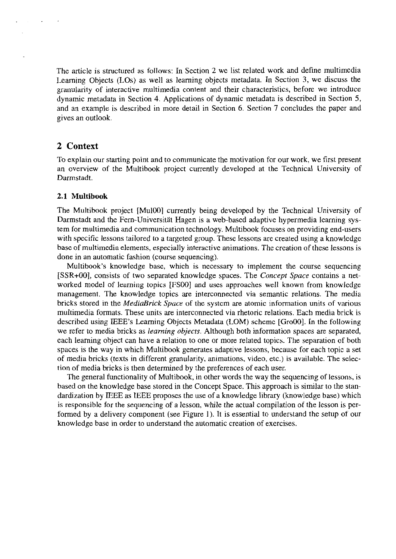The article is structured as follows: In Section 2 we list related work and define multimedia Leaming Objects (LOS) as well as learning objects metadata. In Section **3,** we discuss the granularity of interactive multimedia content and their characteristics, before we introduce dynamic metadata in Section 4. Applications of dynamic metadata is described in Section 5, and an examplc is dcscribed in more detail in Section *6.* Section 7 concludes the paper and gives an outlook.

# **2 Context**

To explain our starting point and to communicate the motivation for our work, we first present an overview of the Multibook project currently developed at the Technical University of Darmstadt.

## **2.1 Multibook**

The Multibook project [MuIOO] currently being developed by the Technical University of Darmstadt and the Fern-Universität Hagen is a web-based adaptive hypermedia learning system for multimedia and communication technology. Multibook focuses on providing end-users with specific lessons tailored to a targeted group. These lessons are created using a knowledge base of multimedia elements, especially interactive animations. The creation of these lessons is done in an automatic fashion (course sequencing).

Multibook's knowledge base, which is necessary to implement the course sequencing [SSR+OO], consists of two separated knowledge spaces. The *Concept Space* contains a networked model of learning topics [FS00] and uses approaches well known from knowledge management. The knowledge topics are interconnected via semantic relations. The media bricks stored in the *MediuBrick Spuce* of the systcm are atomic information units of various multimedia formats. These units are interconnected via rhetoric relations. Each media brick is described using IEEE's Leaming Objects Metadata (LOM) schemc [GroOO]. In the following we refer to media bricks as *learning objects.* Although both information spaces are separated, each leaming object can have a relation to one or more related topics. The separation of both spaces is the way in which Multibook generates adaptive lessons, because for each topic a set of media bricks (texts in different granularity, animations, video, etc.) is available. The selection of media bricks is then determined by the preferences of each User.

The general functionality of Multibook, in other words the way the sequencing of lessons, is based on the knowledge base stored in the Concept Space. This approach is similar to the standardization by IEEE as IEEE proposes the use of a knowledge lihrary (knowledge hase) which is responsible for the sequencing of a lesson, while the actual compilation of the lesson is performed by a delivery component (see Figure l). It is essential to understand the setup of our knowledge base in order to understand the automatic creation of exercises.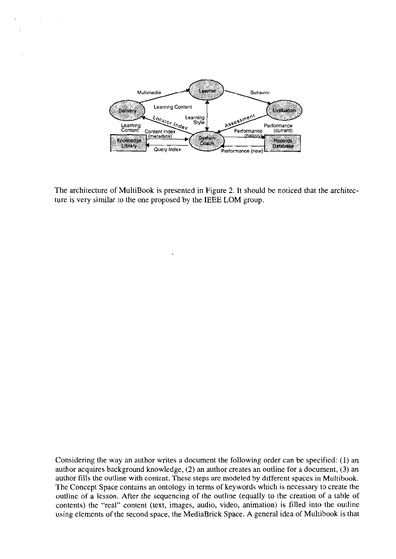

The architecture of MultiBook is presented in Figure 2. It should be noticed that the architecture is very similar to the one proposed by the IEEE LOM group.

Considering the way an author writes a document the following order can be specified: (1) an author acquires hackground knowledge, (2) an author creates an outline for a document, **(3)** an author fills the outline with content. These steps are modeled by different spaces in Multibook. The Concept Space contains an ontology in terms of keywords which is necessary to create the outline of a Icsson. After the sequencing of the outline (equally to the creation of a table of contents) the "real" content (text, images, audio, video, animation) is filled into the outline using elements of the second space, the MediaBrick Space. **A** general idea of Multibook is that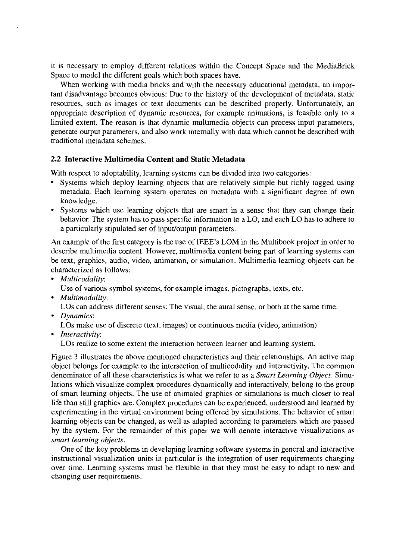it is necessary to employ different relations within the Concept Space and the MediaBrick Space to model the different goals which both spaces have.

When working with media bricks and with the necessary educational metadata, an important disadvantage becomes obvious: Due to the history of the development of metadata, static resources, such as images or text documents can be described properly. Unfortunately, an appropriate description of dynamic resources, for example animations, is feasible only to a limited extent. The reason is that dynamic multimedia objects can process input parameters, generate output parameters, and also work internally with data which cannot be described with traditional metadata schemes.

## **2.2 Interactive Multimedia Content and Static Metadata**

With respect to adoptability, learning systems can be divided into two categories:

- Systems which deploy learning objects that are relatively simple but richly tagged using metadata. Each learning system operates on metadata with a significant degree of own knowledge.
- Systems which use learning objects that are smart in a sense that they can change their behavior. The system has to pass specific information to a LO, and each L0 has to adhere to a particularly stipulated set of input/output parameters.

An example of the first category is the use of IEEE's LOM in the Multibook project in order to describe multimedia content. However, multimedia content being part of learning systems can be text, graphics, audio, video, animation, or simulation. Multimedia learning objects can be characterized as follows:

- Multicodality:
	- Use of various symbol systems, for example images. pictographs, texts, etc.
- Multimodality:

LOS can address different senses: The visual. the aural sense, or both at the same time.

- Dynamics:
	- LOS make use of discrete (text, images) or continuous media (video, animation)
- Interactivity:

LOS realize to some extent the interaction between learner and learning system.

Figure 3 illustrates the above mentioned characteristics and their relationships. An active map object belongs for example to the intersection of multicodality and interactivity. The common denominator of all these characteristics is what we refer to as a *Smart Learning Object*. Simulations which visualize complex procedures dynamically and interactively, belong to the group of smart learning objects. The use of animated graphics or simulations is much closer to real life than still graphics are. Complex procedures can be experienced, understood and leamed by experimenting in the virtual environment being offered by simulations. The behavior of smart learning objects can be changed, as well as adapted according to parameters which are passed by the system. For the remainder of this paper we will denote interactive visualizations as smart learning objects.

One of the key problems in developing learning software systems in general and interactive instructional visualization units in particular is the integration of user requirements changing over time. Learning systems must be flexible in that they must be easy to adapt to new and changing user requirements.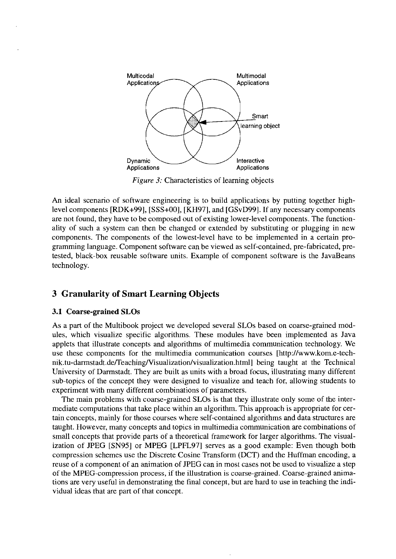

*Figure* 3: Characteristics of learning objects

An ideal Scenario of software engineering is to build applications by putting together highlevel components [RDK+99], [SSS+00], [KH97], and [GSvD99]. If any necessary components are not found, they have to be composed out of existing lower-level components. The functionality of such a System can then be changed or extended by substituting or plugging in new components. The components of the lowest-level have to be implemented in a certain programming language. Component software can be viewed as self-contained, pre-fabricated, pretested, black-box reusable software units. Example of component software is the JavaBeans technology.

# **3 Granularity of Smart Learning Objects**

## **3.1** Coarse-grained SLOs

As a part of the Multibook project we developed several SLOs based on coarse-grained modules, which visualize specific algorithms. These modules have been implemented as Java applets that illustrate concepts and algorithms of multimedia communication technology. We use these components for the multimedia communication courses [http://www.kom.e-technik.tu-darmstadt.de/Teaching/Visualization/visualization.html being taught at the Technical University of Darmstadt. They are built as units with a broad focus, illustrating many different sub-topics of the concept they were designed to visualize and teach for, allowing students to experiment with many different combinations of parameters.

The main problems with coarse-grained SLOs is that they illustrate only some of the intermediate computations that take place within an algorithm. This approach is appropriate for certain concepts, mainly for those courses where self-contained algorithms and data structures are taught. However, many concepts and topics in multimedia communication are combinations of small concepts that provide parts of a theoretical framework for larger algorithms. The visualization of JPEG [SN951 or MPEG [LPFL97] serves as a good example: Even though both compression schemes use the Discrete Cosine Transform (DCT) and the Huffman encoding, a reuse of a component of an animation of JPEG can in most cases not be used to visualize a step of the MPEG-compression process, if the illustration is coarse-grained. Coarse-grained animations are very useful in demonstrating the final concept, but are hard to use in teaching the individual ideas that are part of that concept.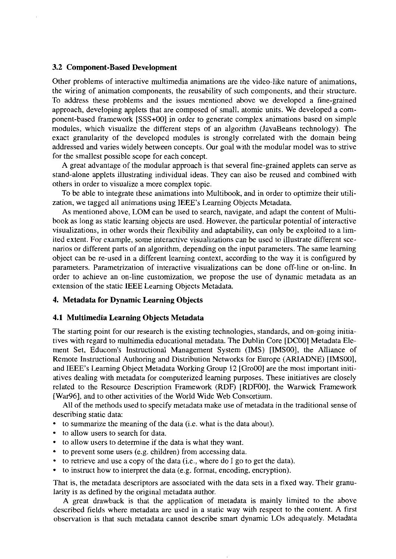## **3.2 Component-Based Development**

Other problems of interactive multimedia animations are the video-like nature of animations, the wiring of animation components, the reusability of such components, and their stmcture. To address these problems and the issues mentioned above we developed a fine-grained approach, developing applets that are composed of small. atomic units. We developed a component-based framework [SSS+OO] in order to generate complex animations based on simple modules, which visualize the different steps of an algorithm (JavaBeans technology). The exact granularity of the developed modules is strongly correlated with the domain being addressed and varies widely between concepts. Our goal with the modular model was to strive for the smallest possible scope for each concept.

A great advantage of the modular approach is that several fine-grained applets can serve as stand-alone applets illustrating individual ideas. They can also be reused and combined with others in order to visualize a more complex topic.

Tobe able to integrate these animations into Multibook, and in order to optimize their utilization, we tagged all animations using IEEE's Learning Objects Metadata.

As mentioned above, LOM can be used to search, navigate, and adapt the content of Multibook as long as static leaming objects are used. However. the particular potential of interactive visualizations, in other words their flexibility and adaptability, can only be exploited to a limited extent. For example, some interactive visualizations can be used to illustrate different scenarios or different parts of an algorithm, depending on the input parameters. The same learning object can be re-used in a different learning context, according to the way it is configured by Parameters. Parametrization of interactive visualizations can be done off-line or on-line. In order to achieve an on-line customization, we propose the use of dynamic metadata as an extension of the static IEEE Learning Objects Metadata.

#### **4. Metadata for Dynamic Learning Objects**

#### **4.1 Multimedia Learning Objects Metadata**

The starting point for our research is the existing technologies, Standards, and on-going initiatives with regard to multimedia educational metadata. The Dublin Core [DCOO] Metadata Element Set, Educom's Instructional Management System (IMS) [IMSOO], the Alliance of Remote Instructional Authoring and Distribution Networks for Europe (ARIADNE) [IMS00], and IEEE's Leaming Object Metadata Working Group 12 [GroOO] are the most important initiatives dealing with metadata for computerized learning purposes. These initiatives are closely related to the Resource Description Framework (RDF) [RDFOO], the Warwick Framework [War96], and to other activities of the World Wide Web Consortium.

All of the methods used to specify metadata make use of metadata in the traditional sense of describing static data:

- to summarize the meaning of the data (i.e. what is the data about).
- to allow users to search for data.
- to allow users to determine if the data is what they Want.
- $\bullet$ to prevent some users (e.g. children) from accessing data.
- to retrieve and use a copy of the data (i.e., where do I go to get the data).
- to instruct how to interpret the data (e.g. format, encoding, encryption).

That is, the metadata descriptors are associated with the data Sets in a fixed way. Their granularity is as defined by the original metadata author.

A great drawback is that the application of metadata is mainly limited to the above described fields where metadata are used in a static way with respect to the content. A first observation is that such metadata cannot describe smart dynamic LOS adequately. Metadata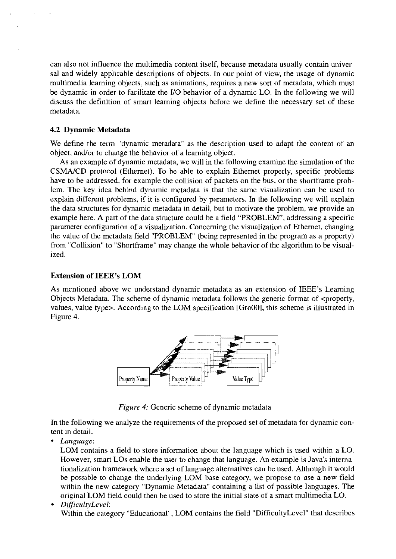can also not influence the multimedia content itself, because metadata usually contain universal and widely applicable descriptions of objects. In our point of view, the usage of dynamic multimedia learning objects, such as animations, requires a new sort of metadata, which must be dynamic in order to facilitate the V0 behavior of a dynamic LO. In the following we will discuss the definition of smart learning objects before we define the necessary set of these metadata.

## **4.2** Dynamic Metadata

We define the term "dynamic metadata" as the description used to adapt the content of an object, andlor to change the behavior of a leaming object.

As an example of dynamic metadata, we will in the following examine the simulation of the CSMAICD protocol (Ethemet). To be able to explain Ethemet properly, specific problems have to be addressed, for example the collision of packets on the bus, or the shortframe problem. The key idea behind dynamic metadata is that the same visualization can be used to explain different problems, if it is configured by parameters. In the following we will explain the data structures for dynamic metadata in detail, but to motivate the problem, we provide an example here. A part of the data structure could be a field "PROBLEM", addressing a specific Parameter configuration of a visualization. Concerning the visualization of Ethemet, changing the value of the metadata field "PROBLEM" (being represented in the program as a property) from "Collision" to "Shortframe" may change the whole behavior of the algorithm to be visualized.

#### Extension of IEEE's LOM

As mentioned above we understand dynamic metadata as an extension of IEEE's Learning Objects Metadata. The scheme of dynamic metadata follows the generic format of cproperty, values, value type>. According to the LOM specification [GroOO], this scheme is illustrated in Figure 4.



*Figure 4:* Generic scheme of dynamic metadata

In the following we analyze the requirements of the proposed set of metadata for dynamic content in detail.

*Language:* 

LOM contains a field to store information about the language which is used within a LO. However, smart LOs enable the user to change that language. An example is Java's internationalization framework where a Set of language alternatives can be used. Although it would be possible to change the underlying LOM base category, we propose to use a new field within the new category "Dynamic Metadata" containing a list of possible languages. The original LOM field could then be used to store the initial state of a smart multimedia LO.

*DifficultyLevel:* Within the category "Educational", LOM contains the field "DifficuityLevel" that describes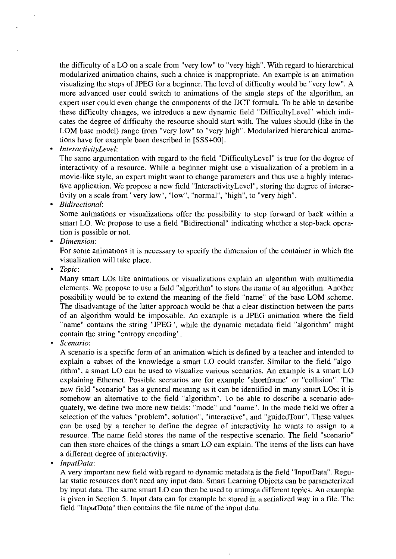the difficulty of a L0 on a scale from "very low" to "very high". With regard to hierarchical modularized animation chains, such a choice is inappropriate. An example is an animation visualizing the steps of JPEG for a beginner. The level of difficulty would be "very low". A more advanced User could switch to animations of the single steps of the algorithm, an expert user could even change the components of the DCT formula. To be able to describe these difficulty changes, we introduce a new dynamic field "DifficultyLevel" which indicates the degree of difficulty the resource should start with. The values should (like in the LOM base model) range from "very low" to "very high". Modularized hierarchical animations have for example been described in [SSS+OO].

InteractivityLevel:

The same argumentation with regard to the field "DifficultyLevel" is true for the degree of interactivity of a resource. While a beginner might use a visualization of a problem in a movie-like style, an expert might want to change parameters and thus use a highly interactive application. We propose a new field "InteractivityLevel", storing the degree of interactivity on a scale from "very low", "low", "normal", "high", to "very high".

 $\bullet$ Bidirectional:

> Some animations or visualizations offer the possibility to step fonvard or back within a smart LO. We propose to use a field "Bidirectionai" indicating whether a step-back operation is possible or not.

Dimension:

For some animations it is necessary to specify the dimension of the container in which the visualization will take place.

• Topic:

Many smart LOS like animations or visualizations explain an algorithm with multimedia elements. We propose to use a field "algorithm" to store the name of an algorithm. Another possibility would be to extend the meaning of the field "name" of the base LOM scheme. The disadvantage of the latter approach would be that a clear distinction between the parts of an algonthm would be impossible. An example is a JPEG animation where the field "name" contains the string "JPEG", while the dynamic metadata field "algorithm" might contain the string "entropy encoding".

 $\bullet$ Scenario:

> A scenario is a specific form of an animation which is defined by a teacher and intended to explain a subset of the knowledge a smart L0 could transfer. Similar to the field "algorithm", a smart L0 can be used to visualize various scenarios. An example is a smart L0 explaining Ethernet. Possible scenarios are for example "shortframe" or "collision". The new field "scenario" has a general meaning as it can be identified in many smart LOS; it is somehow an alternative to the field "algorithm". To be able to describe a scenario adequately, we define two more new fields: "mode" and "name". In the mode field we offer a selection of the values "problem", solution", "interactive", and "guidedTour". These values can be used by a teacher to define the degree of interactivity he wants to assign to a resource. The name field stores the name of the respective scenario. The field "scenario" can then store choices of the things a smart L0 can explain. The items of the lists can have a different degree of interactivity.

• InputData:

**A** very important new field with regard to dynamic metadata is the field "InputData". Regular static resources don't need any input data. Smart Learning Objects can be parameterized by input data. The Same smart L0 can then be used to animate different topics. An example is given in Section 5. Input data can for example be stored in a serialized way in a file. The field "InputData" then contains the file name of the input data.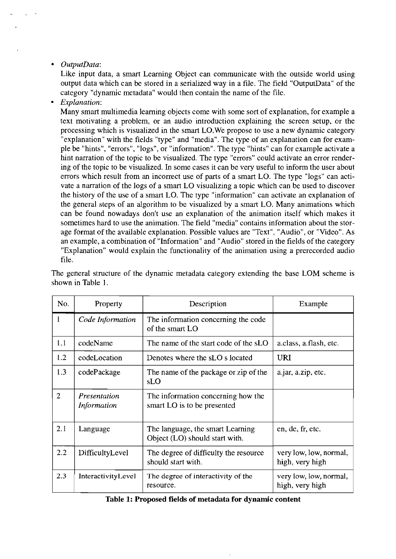## *OutputData:*

Like input data, a smart Learning Object can communicate with the outside world using output data which can be stored in a serialized way in a file. The field "OutputData" of the category "dynamic metadata" would then contain the name of the file.

*Explanation:* 

Many smart multimedia leaming objects come with some sort of explanation, for example a text motivating a problem, or an audio introduction explaining the screen setup, or the processing which is visualized in the smart LO.We propose to use a new dynamic category "explanation" with the fields "type" and "media". The type of an explanation can for example be "hints", "errors", "logs", or "information". The type "hints" can for example activate a hint narration of the topic to be visualized. The type "errors" could activate an error rendering of the topic to be visualized. In some cases it can be very useful to inform the User about errors which result from an incorrect use of parts of a smart LO. The type "logs" can activate a narration of the logs of a smart L0 visualizing a topic which can be used to discover the history of the use of a smart LO. The type "information" can activate an explanation of the general steps of an algorithm to be visualized by a smart LO. Many animations which can be found nowadays don't use an explanation of the animation itself which makes it sometimes hard to use the animation. The field "media" contains information about the storage format of the available explanation. Possible values are "Text", "Audio", or "Video". As an example, a combination of "Information" and "Audio" stored in the fields of the category "Explanation" would explain the functionality of the animation using a prerecorded audio file.

No. Property Description Example  $\mathbf{1}$ Code Information The information concerning the code of the smart LO  $1.1$ codeName The name of the start code of the sLO a.class, a.flash, etc.  $1.2$ codeLocation Denotes where the sLO s located **URI**  $1.3$ codePackage The name of the package or zip of the a jar, a zip, etc. sLO  $\overline{2}$ Presentation The information concerning how the Information smart L0 is to be presented  $2.1$ Language The language, the smart Learning en, de, fr, etc. Object (LO) should start with.  $2.2$ DifficultyLevel The degree of difficulty the resource very low, low, normal, should start with. high, very high InteractivityLevel 2.3 The degree of interactivity of the very low, low, normal, resource. high, very high

The general structure of the dynamic metadata category extending the base LOM scheme is shown in Table 1.

| Table 1: Proposed fields of metadata for dynamic content |  |  |  |  |  |  |  |  |
|----------------------------------------------------------|--|--|--|--|--|--|--|--|
|----------------------------------------------------------|--|--|--|--|--|--|--|--|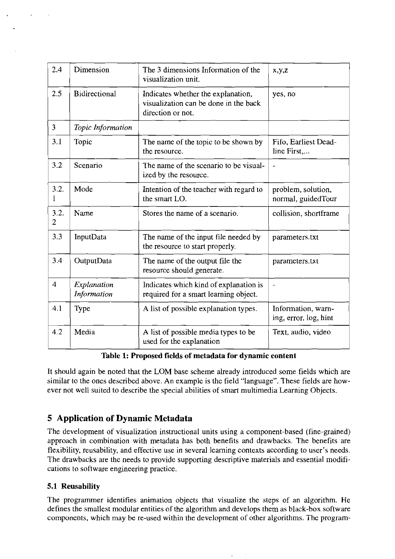| 2.4                    | Dimension                  | The 3 dimensions Information of the<br>visualization unit.                                       | x, y, z                                     |  |
|------------------------|----------------------------|--------------------------------------------------------------------------------------------------|---------------------------------------------|--|
| 2.5                    | <b>Bidirectional</b>       | Indicates whether the explanation,<br>visualization can be done in the back<br>direction or not. | yes, no                                     |  |
| 3 <sup>1</sup>         | Topic Information          |                                                                                                  |                                             |  |
| 3.1                    | Topic                      | The name of the topic to be shown by<br>the resource.                                            | Fifo, Earliest Dead-<br>line First,         |  |
| 3.2                    | Scenario                   | The name of the scenario to be visual-<br>ized by the resource.                                  |                                             |  |
| 3.2.<br>1              | Mode                       | Intention of the teacher with regard to<br>the smart LO.                                         | problem, solution,<br>normal, guidedTour    |  |
| 3.2.<br>$\overline{2}$ | Name                       | Stores the name of a scenario.                                                                   | collision, shortframe                       |  |
| 3.3                    | <b>InputData</b>           | The name of the input file needed by<br>the resource to start properly.                          | parameters.txt                              |  |
| 3.4                    | OutputData                 | The name of the output file the<br>resource should generate.                                     | parameters.txt                              |  |
| $\overline{4}$         | Explanation<br>Information | Indicates which kind of explanation is<br>required for a smart learning object.                  |                                             |  |
| 4.1                    | Type                       | A list of possible explanation types.                                                            | Information, warn-<br>ing, error, log, hint |  |
| 4.2                    | Media                      | A list of possible media types to be<br>used for the explanation                                 | Text, audio, video                          |  |

## **Table 1: Proposed fields of metadata for dynamic content**

It should again be noted that the LOM base scheme already introduced some fields which are similar to the ones descnbed above. An example is the field "language". These fields are however not well suited to describe the special abilities of smart multimedia Learning Objects.

# **5 Application of Dynarnic Metadata**

The development of visualization instructional units using a component-based (fine-grained) approach in combination with metadata has both benefits and drawbacks. The benefits are flexibility, reusability, and effective use in several leaming contexts according to user's needs. The drawbacks are the needs to provide supporting descriptive materials and essential modifications to software engineering practice.

## **5.1 Reusability**

The programmer identifies animation objects that visualize the steps of an algorithm. He defines the smallest modular entities of the algorithm and develops them as black-box software components, which may be re-used within the development of other algorithms. The program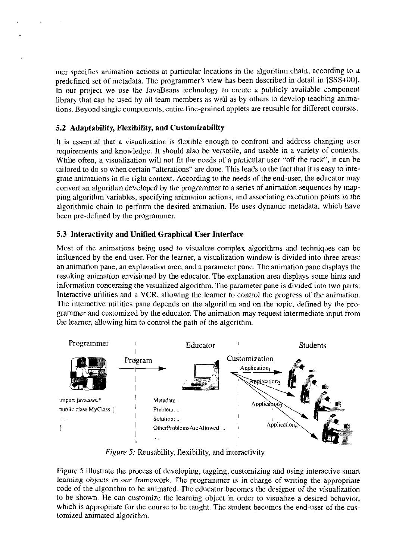mer specifies animation actions at particular locations in the algorithm chain, according to a predefined set of metadata. The programmer's view has been described in detail in [SSS+OO]. In our project we use thc JavaBeans technology to create a publicly available component library that can be used by all team members as well as by others to develop teaching animations. Beyond Single components, entire finc-grained applets are reusable for different Courses.

# **5.2 Adaptability, Flexibility, and Customizability**

It is essential that a visualization is flexible enough to confront and address changing user requirements and knowledge. It should also be versatile, and usable in a variety of contexts. While often, a visualization will not fit the needs of a particular user "off the rack", it can be tailored to do so when certain "alterations" are done. This leads to the fact that it is easy to integrate animations in the right context. According to the needs of the end-user, the educator may convert an algorithm developed by the programmer to a series of animation sequences by mapping algorithm variables, speciiying animation actions, and associating execution points in the algorithmic chain to perform the desired animation. He uses dynamic metadata, which have been pre-defined by the programmer.

# **5.3 Interactivity and Unified Graphical User Interface**

Most of the animations being used to visualize complex algorithms and techniques can be influenced by the end-user. For the learner, a visualization window is divided into three areas: an animation pane, an explanation area, and a parameter pane. The animation pane displays the resulting animation envisioned by the educator. The explanation area displays some hints and information concerning the visualized algorithm. The parameter pane is divided into two parts: Interactive utilities and a VCR, allowing the learner to control the progress of the animation. The interactive utilities pane depends on the algorithm and on the topic, defined by the programmer and customized by the educator. The animation may request intermediate input from the learner, allowing him to control the path of the algorithm. Ind United Graphical User Interfactions being used to visualize completed und-user. For the learner, a visualization an explanation area, and a parameter provisioned by the educator. The explaning the visualized algorithm.



*Figure* **5:** Reusability, flexibility, and interactivity

Figure **5** illustrate the process of developing, tagging, customizing and using interactive smart learning objects in our framework. The programmer is in charge of writing the appropriate code of the algorithm to be animated. The educator becomes the designer of the visualization to be shown. He can customize the learning object in order to visualize a desired behavior, which is appropriate for the course to be taught. The student becomes the end-user of the customized animated algorithm.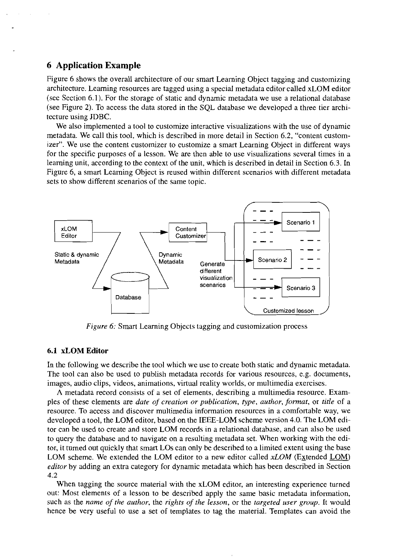# **6 Application Example**

Figure 6 shows the overall architecture of our smart Leaming Object tagging and customizing architecture. Leaming resources are tagged using a special metadata editor called xLOM editor (see Section 6.1). For the storage of static and dynamic metadata we use a relational database (see Figure **2).** To access the data stored in the SQL database we developed a three tier architecture using JDBC.

We also implemented a tool to customize interactive visualizations with the use of dynamic metadata. We call this tool, which is described in more detail in Section 6.2, "content customizer". We use the content customizer to customize a smart Leaming Object in different ways for the specific purposes of a lesson. We are then able to use visualizations several times in a leaming unit, according to the context of the unit, which is described in detail in Section 6.3. In Figure 6, a smart Leaming Object is reused within different scenarios with different metadata sets to show different scenarios of the same topic.



*Figure 6:* Smart Learning Objects tagging and customization process

## **6.1 xLOM Editor**

In the following we describe the tool which we use to create both static and dynamic metadata. The tool can also be used to publish metadata records for various resources, e.g. documents, images, audio clips, videos. animations, virtual reality worlds, or multimedia exercises.

A metadata record consists of a Set of elements, describing a multimedia resource. Examples of these elements are *date of creation or publication, type, author, fomat,* or *title* of a resource. To access and discover multimedia information resources in a comfortable way, we developed a tool, the LOM editor, based on the IEEE-LOM scheme version 4.0. The LOM editor can be used to create and store LOM records in a relational database, and can also be used to query the database and to navigate on a resulting metadata set. When working with the editor, it turned out quickly that smart LOs can only be described to a limited extent using the base<br>LOM scheme. We extended the LOM editor to a new editor called  $xLOM$  (Extended LOM) *editor* by adding an extra category for dynamic metadata which has been described in Section 4.2

When tagging the source material with the xLOM editor, an interesting experience turned out: Most elements of a lesson to be described apply the same basic metadata information, such as the *name of the author,* the *rights of the lesson,* or the *rargeted user group.* It would hence be very useful to use a set of templates to tag the material. Templates can avoid the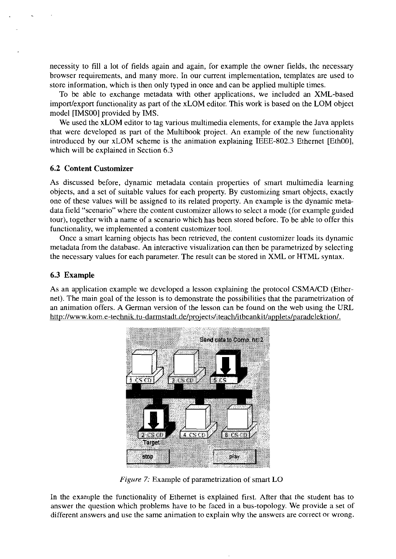necessity to fill a lot of fields again and again, for example the owner fields, the necessary browser requirements, and many more. In our current implementation, templates are used to store information, which is then only typed in once and can be applied multiple times.

To be able to exchange metadata with other applications, we included an XML-based import/export functionality as part of the xLOM editor. This work is based on the LOM object model [IMSOO] provided by IMS.

We used the xLOM editor to tag various multimedia elements, for example the Java applets that were developed as part of the Multibook project. An example of the new functionality introduced by our xLOM scheme is the animation explaining IEEE-802.3 Ethernet [EthOO], which will be explained in Section 6.3

#### **6.2 Content Customizer**

As discussed before, dynamic metadata contain properties of smart multimedia learning objects, and a Set of suitable values for each property. By customizing smart objects, exactly one of these values will be assigned to its related property. An example is the dynamic metadata field "scenario" where the content customizer allows to select a mode (for example guided tour), together with a name of a scenario which has been stored before. Tobe able to offer this functionality, we implemented a content customizer tool.

Once a smart learning objects has been retrieved, the content customizer loads its dynamic metadata from the database. An interactive visualization can then be parametrized by selecting the necessary values for each parameter. The result can be stored in XML or HTML syntax.

## **6.3 Example**

As an application example we developed a lesson explaining the protocol CSMA/CD (Ethernet). The main goal of the lesson is to demonstrate the possibilities that the parametrization of an animation offers. A German version of the lesson can be found on the web using the URL http://www.kom.e-technik.tu-darmstadt.de/projects/iteach/itbeankit/applets/paradelektion/.



**Figure** 7: Example of parametrization of smart L0

In the exarnple the functionality of Ethernet is explained first. After that the student has to answer the question which problems have to be faced in a bus-topology. We provide a set of different answers and use the same animation to explain why the answers are correct or wrong.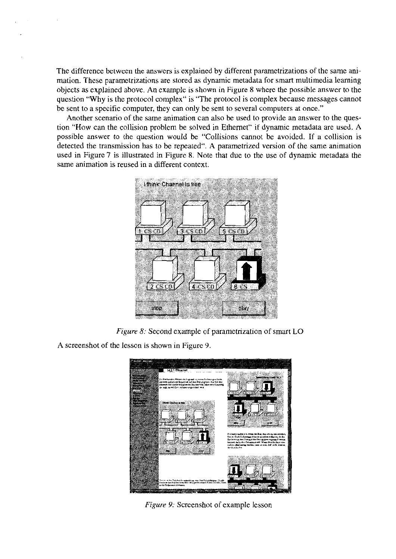The difference between the answers is explained by different parametrizations of the same animation. These parametrizations are stored as dynamic metadata for smart multimedia learning objects as explained above. An example is shown in Figure 8 where the possible answer to the question "Why is the protocol complex" is "The protocol is complex because messages cannot be sent to a specific computer, they can only be sent to several computers at once."

Another scenario of the Same animation can also be used to provide an answer to the question "How can the collision problem be solved in Ethernet" if dynamic metadata are used. A possible answer to the question would be "Collisions cannot be avoided. If a collision is detected the transmission has to be repeated". **A** parametrized version of the same animation used in Figure 7 is illustrated in Figure 8. Note that due to the use of dynamic metadata the Same animation is reused in a different context.



Figure 8: Second example of parametrization of smart LO

A screenshot of the lesson is shown in Figure 9.



Figure 9: Screenshot of example lesson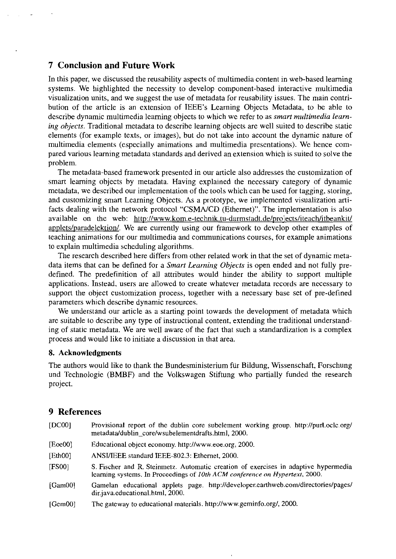# **7 Conclusion and Future Work**

In this paper, we discussed the reusability aspects of multimedia content in web-based learning systems. We highlighted the necessity to develop component-based interactive multimedia visualization units, and we suggest the use of metadata for reusability issues. The main contribution of the article is an extension of IEEE's Learning Objects Metadata, to be able to describe dynamic multimedia leaming objects to which we refer to as *stnart multimedia learning objects.* Traditional metadata to describe learning objects are well suited to describe static elements (for example texts, or images), but do not take into account the dynamic nature of multimedia elements (especially animations and multimedia presentations). We hence compared various learning metadata standards and derived an extension which is suited to solve the problem.

The metadata-based framework presented in our article also addresses the customization of smart leaming objects by metadata. Having explained the necessary category of dynamic metadata, we described our implementation of the tools which can be used for tagging, storing, and customizing smart Learning Objects. As a prototype, we implemented visualization artifacts dealing with the network protocol "CSMNCD (Ethernet)". The implementation is also available on the web: http://www.kom.e-technik.tu-darmstadt.de/projects/iteach/itbeankit/ applets/paradelektion/. We are currently using our framework to develop other examples of teaching animations for our multimedia and communications Courses, for example animations to explain multimedia scheduling algorithms.

The research described here differs from other related work in that the set of dynamic metadata items that can be defined for a *Smart Learning Objects* is Open ended and not fully predefined. The predefinition of all attributes would hinder the ability to support multiple applications. Instead. Users are allowed to create whatever metadata records are necessary to support the object customization process, together with a necessary base set of pre-defined Parameters which describe dynamic resources.

We understand our article as a starting point towards the development of metadata which are suitable to describe any type of instructional content, extending the traditional understanding of static metadata. We are well aware of the fact that such a standardization is a complex process and would like to initiate a discussion in that area.

#### **8. Acknowledgments**

The authors would like to thank the Bundesministerium für Bildung, Wissenschaft, Forschung und Technologie (BMBF) and the Volkswagen Stiftung who partially funded the research project.

## **9 References**

| [DC00]  | Provisional report of the dublin core subelement working group, http://purl.oclc.org/<br>metadata/dublin_core/wsubelementdrafts.html, 2000.                        |
|---------|--------------------------------------------------------------------------------------------------------------------------------------------------------------------|
| [Eoe00] | Educational object economy. http://www.eoe.org, 2000.                                                                                                              |
| [Eth00] | ANSI/IEEE standard IEEE-802.3: Ethernet, 2000.                                                                                                                     |
| [FS00]  | S. Fischer and R. Steinmetz. Automatic creation of exercises in adaptive hypermedia<br>learning systems. In Proceedings of 10th ACM conference on Hypertext, 2000. |
| [Gam00] | Gamelan educational applets page. http://developer.earthweb.com/directories/pages/<br>dir.java.educational.html, 2000.                                             |
| [Gem00] | The gateway to educational materials. http://www.geminfo.org/, 2000.                                                                                               |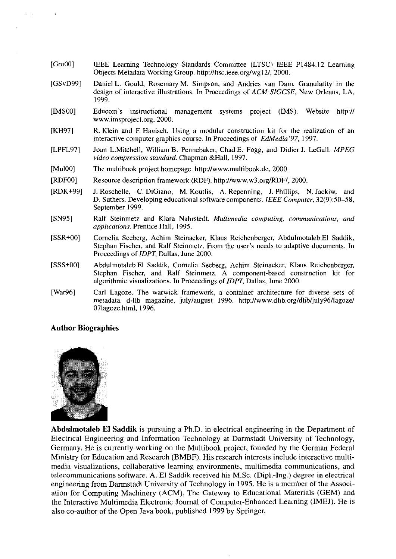- [GroOO] IEEE Learning Technology Standards Comminee (LTSC) IEEE P1484.12 Learning Objects Metadata Working Group. http://ltsc.ieee.org/wg12/, 2000.
- [GSvD99] DanielL. Gould, Rosemary M. Simpson, and Andries van Dam. Granularity in the design of interactive illustrations. In Proceedings of *ACM SIGCSE,* New Orleans, LA, 1999.
- [IMSOO] Educom's instmctional management Systems project (IMS). Website http:// www.imsproject.org, 2000.
- [KH97] R. Klein and F. Hanisch. Using a modular constmction kit for the realization of an interactive Computer graphics Course. In Proceedings of *EdMedia'97,* 1997.
- [LPFL97] Joan L.Mitchell, William B. Pennebaker, Chad E. Fogg, and Didier J. LeGall. *MPEG video compression standard.* Chapman &Hall, 1997.
- [MuIOO] The multibook project homepage. http://www.multibook.de, 2000.
- [RDFOO] Resource description framework (RDF). http://www.w3.org/RDF/, 2000.
- [RDK+99] J. Roschelle, C. DiGiano, M. Koutlis, A. Repenning, J. Phillips, N. Jackiw, and D. Suthers. Developing educational software components. IEEE Computer, 32(9):50–58, September 1999.
- $[SN95]$ Ralf Steinmetz and Klara Nahrstedt. *Multimedia computing, communications, and applications.* Prentice Hall, 1995.
- $[SSR+00]$ Cornelia Seeberg, Achim Steinacker, Klaus Reichenberger, Abdulmotaleb EI Saddik, Stephan Fischer, and Ralf Steinmetz. From the user's needs to adaptive documents. In Proceedings of *IDPT,* Dallas. June 2000.
- $[SSS+00]$ Abdulmotaleb EI Saddik, Cornelia Seeberg, Achim Steinacker, Klaus Reichenberger, Stephan Fischer, and Ralf Steinmetz. A component-based construction kit for algorithmic visualizations. In Proceedings of *IDPT,* Dallas, June 2000.
- $[War96]$ Carl Lagoze. The warwick framework, a container architecture for diverse sets of nietadata. d-lib magazine, julylaugust 1996. http://www.dlib.org/dlib/july96/lagoze/ 07lagoze.html, 1996.

#### **Author Biographies**



**Abdulmotaleb EI Saddik** is pursuing a Ph.D. in electrical engineering in the Department of Electrical Engineering and Information Technology at Darmstadt University of Technology, Germany. He is currently working on the Multibook project, founded by the German Federal Ministry for Education and Research (BMBF). His research interests include interactive multimedia visualizations, collaborative learning environments, multimedia communications, and telecommunications software. A. EI Saddik received his M.Sc. (Dip1:Ing.) degree in electrical engineering from Darmstadt University of Technology in 1995. He is a member of the Association for Computing Machinery (ACM), The Gateway to Educational Materials (GEM) and the Interactive Multimedia Electronic Journal of Computer-Enhanced Learning (IMEJ). He is also co-author of the Open Java book, published 1999 by Springer.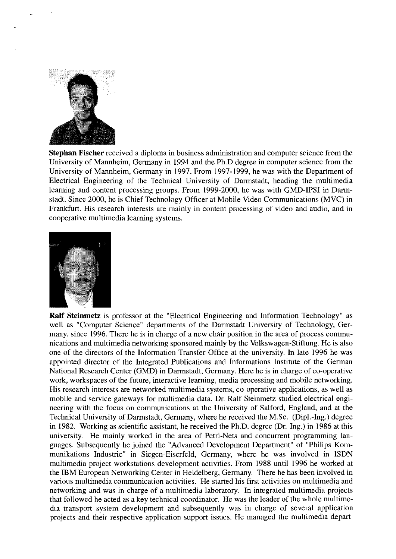

**Stephan Fischer** received a diploma in business administration and computer science from the University of Mannheim, Germany in 1994 and the Ph.D degree in computer science from the University of Mannheim, Germany in 1997. From 1997-1999, he was with the Department of Electrical Engineering of the Technical University of Darmstadt, heading the multimedia learning and content processing groups. From 1999-2000, he was with GMD-IPSI in Darmstadt. Since 2000, he is Chief Technology Officer at Mobile Video Communications (MVC) in Frankfurt. His research interests are mainly in content processing of video and audio, and in cooperative multimedia learning systems.



**Ralf Steinmetz** is professor at the "Electrical Engineering and Information Technology" as well as "Computer Science" departments of the Darmstadt University of Technology, Germany, since 1996. There he is in charge of a new chair position in the area of process communications and multimedia networking sponsored mainly by the Volkswagen-Stiftung. He is also one of the directors of the Information Transfer Office at the university. In late 1996 he was appointed director of the Integrated Publications and Informations Institute of the German National Research Center (GMD) in Darmstadt, Germany. Here he is in charge of co-operative work, workspaces of the future, interactive learning, media processing and mobile networking. His research interests are networked multimedia systems, co-operative applications, as well as mobile and service gateways for multimedia data. Dr. Ralf Steinmetz studied electrical engineering with the focus on communications at the University of Salford, England, and at the Technical University of Darmstadt, Germany, where he received the M.Sc. (Dip1.-Ing.) degree in 1982. Working as scientific assistant, he received the Ph.D. degree (Dr.-Ing.) in 1986 at this university. He mainly worked in the area of Petri-Nets and concurrent programming languages. Subsequently he joined the "Advanced Development Department" of "Philips Kommunikations Industrie" in Siegen-Eiserfeld, Germany, where he was involved in ISDN multimedia project workstations development activities. From 1988 until 1996 he worked at the IBM European Networking Center in Heidelberg, Germany. There he has been involved in various multimedia communication activities. He started his first activities on multimedia and networking and was in charge of a multimedia laboratory. In integrated multimedia projects that followed he acted as a key technical coordinator. He was the leader of the whole multimedia transport system development and subsequently was in charge of several application projects and their respective application support issues. He managed the multimedia depart